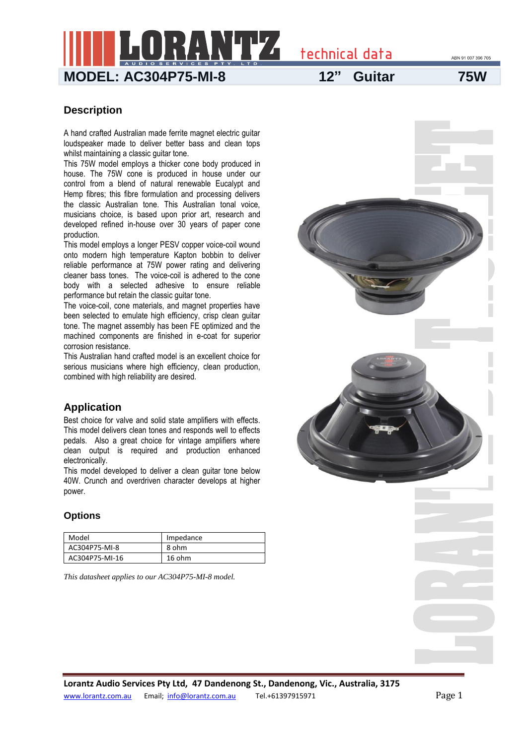technical data

**MODEL: AC304P75-MI-8 12" Guitar 75W**

ABN 91 007 396 705

#### **Description**

A hand crafted Australian made ferrite magnet electric guitar loudspeaker made to deliver better bass and clean tops whilst maintaining a classic quitar tone.

This 75W model employs a thicker cone body produced in house. The 75W cone is produced in house under our control from a blend of natural renewable Eucalypt and Hemp fibres; this fibre formulation and processing delivers the classic Australian tone. This Australian tonal voice, musicians choice, is based upon prior art, research and developed refined in-house over 30 years of paper cone production.

This model employs a longer PESV copper voice-coil wound onto modern high temperature Kapton bobbin to deliver reliable performance at 75W power rating and delivering cleaner bass tones. The voice-coil is adhered to the cone body with a selected adhesive to ensure reliable performance but retain the classic guitar tone.

The voice-coil, cone materials, and magnet properties have been selected to emulate high efficiency, crisp clean guitar tone. The magnet assembly has been FE optimized and the machined components are finished in e-coat for superior corrosion resistance.

This Australian hand crafted model is an excellent choice for serious musicians where high efficiency, clean production, combined with high reliability are desired.

### **Application**

Best choice for valve and solid state amplifiers with effects. This model delivers clean tones and responds well to effects pedals. Also a great choice for vintage amplifiers where clean output is required and production enhanced electronically.

This model developed to deliver a clean guitar tone below 40W. Crunch and overdriven character develops at higher power.

#### **Options**

| Model          | Impedance |
|----------------|-----------|
| AC304P75-MI-8  | 8 ohm     |
| AC304P75-MI-16 | 16 ohm    |

*This datasheet applies to our AC304P75-MI-8 model.*